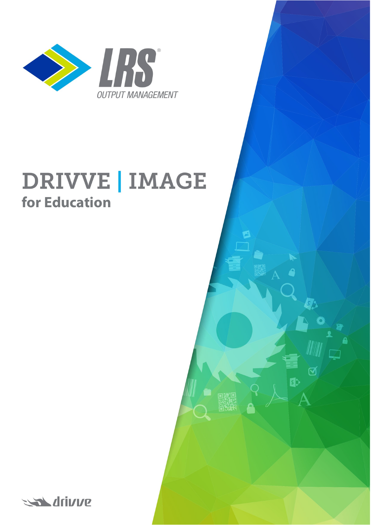

# **DRIVVE | IMAGE for Education**

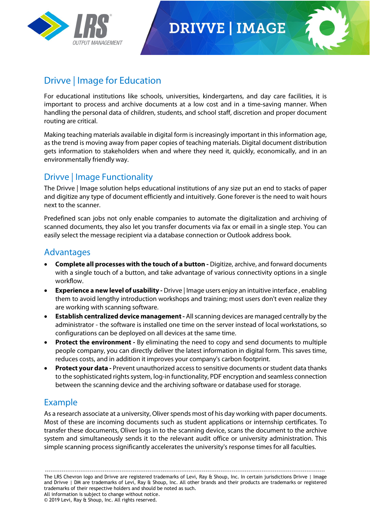

## **DRIVVE | IMAGE**



### Drivve | Image for Education

For educational institutions like schools, universities, kindergartens, and day care facilities, it is important to process and archive documents at a low cost and in a time-saving manner. When handling the personal data of children, students, and school staff, discretion and proper document routing are critical.

Making teaching materials available in digital form is increasingly important in this information age, as the trend is moving away from paper copies of teaching materials. Digital document distribution gets information to stakeholders when and where they need it, quickly, economically, and in an environmentally friendly way.

### Drivve | Image Functionality

The Drivve | Image solution helps educational institutions of any size put an end to stacks of paper and digitize any type of document efficiently and intuitively. Gone forever is the need to wait hours next to the scanner.

Predefined scan jobs not only enable companies to automate the digitalization and archiving of scanned documents, they also let you transfer documents via fax or email in a single step. You can easily select the message recipient via a database connection or Outlook address book.

#### Advantages

- **Complete all processes with the touch of a button -** Digitize, archive, and forward documents with a single touch of a button, and take advantage of various connectivity options in a single workflow.
- **Experience a new level of usability -** Drivve | Image users enjoy an intuitive interface , enabling them to avoid lengthy introduction workshops and training; most users don't even realize they are working with scanning software.
- **Establish centralized device management -** All scanning devices are managed centrally by the administrator - the software is installed one time on the server instead of local workstations, so configurations can be deployed on all devices at the same time.
- **Protect the environment -** By eliminating the need to copy and send documents to multiple people company, you can directly deliver the latest information in digital form. This saves time, reduces costs, and in addition it improves your company's carbon footprint.
- **Protect your data -** Prevent unauthorized access to sensitive documents or student data thanks to the sophisticated rights system, log-in functionality, PDF encryption and seamless connection between the scanning device and the archiving software or database used for storage.

#### Example

As a research associate at a university, Oliver spends most of his day working with paper documents. Most of these are incoming documents such as student applications or internship certificates. To transfer these documents, Oliver logs in to the scanning device, scans the document to the archive system and simultaneously sends it to the relevant audit office or university administration. This simple scanning process significantly accelerates the university's response times for all faculties.

------------------------------------------------------------------------------------------------------------------------------------------------------ The LRS Chevron logo and Drivve are registered trademarks of Levi, Ray & Shoup, Inc. In certain jurisdictions Drivve | Image and Drivve | DM are trademarks of Levi, Ray & Shoup, Inc. All other brands and their products are trademarks or registered trademarks of their respective holders and should be noted as such. All information is subject to change without notice.